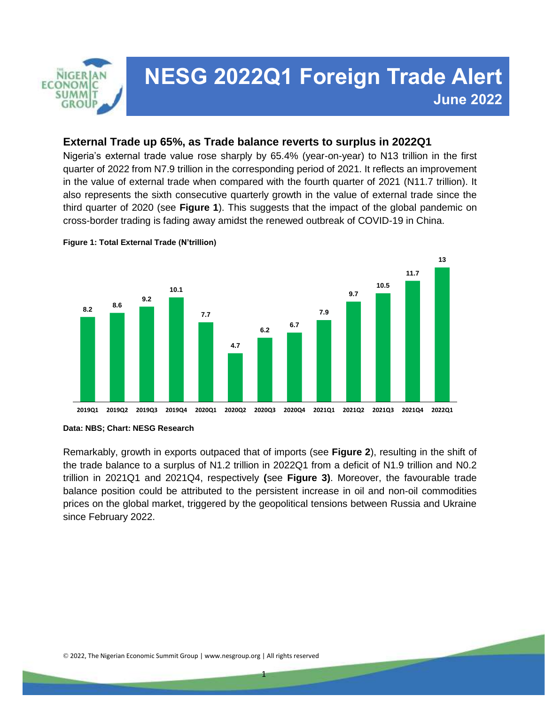

# **NESG 2022Q1 Foreign Trade Alert** Anna Reserved and the served of the series of the series of the series of the series of the series of the series of the series of the series of the series of the series of the series of the series of the series of the seri *To read more of our Policy Brief, please visit:* **June 2022**

*www.nesgroup.org/policy-briefs/*

#### **External Trade up 65%, as Trade balance reverts to surplus in 2022Q1**

Nigeria's external trade value rose sharply by 65.4% (year-on-year) to N13 trillion in the first quarter of 2022 from N7.9 trillion in the corresponding period of 2021. It reflects an improvement in the value of external trade when compared with the fourth quarter of 2021 (N11.7 trillion). It also represents the sixth consecutive quarterly growth in the value of external trade since the third quarter of 2020 (see **Figure 1**). This suggests that the impact of the global pandemic on cross-border trading is fading away amidst the renewed outbreak of COVID-19 in China.



**Figure 1: Total External Trade (N'trillion)**

Remarkably, growth in exports outpaced that of imports (see **Figure 2**), resulting in the shift of the trade balance to a surplus of N1.2 trillion in 2022Q1 from a deficit of N1.9 trillion and N0.2 trillion in 2021Q1 and 2021Q4, respectively **(**see **Figure 3)**. Moreover, the favourable trade balance position could be attributed to the persistent increase in oil and non-oil commodities prices on the global market, triggered by the geopolitical tensions between Russia and Ukraine since February 2022.

1

**Data: NBS; Chart: NESG Research**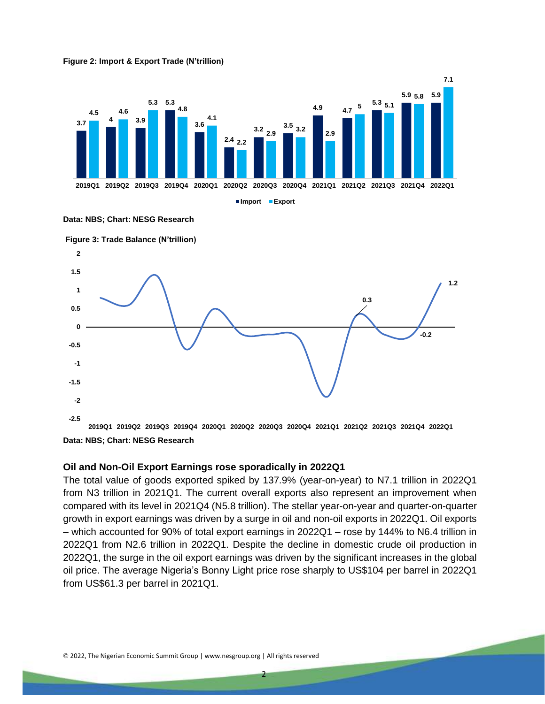



**Data: NBS; Chart: NESG Research**



**Data: NBS; Chart: NESG Research**

#### **Oil and Non-Oil Export Earnings rose sporadically in 2022Q1**

The total value of goods exported spiked by 137.9% (year-on-year) to N7.1 trillion in 2022Q1 from N3 trillion in 2021Q1. The current overall exports also represent an improvement when compared with its level in 2021Q4 (N5.8 trillion). The stellar year-on-year and quarter-on-quarter growth in export earnings was driven by a surge in oil and non-oil exports in 2022Q1. Oil exports – which accounted for 90% of total export earnings in 2022Q1 – rose by 144% to N6.4 trillion in 2022Q1 from N2.6 trillion in 2022Q1. Despite the decline in domestic crude oil production in 2022Q1, the surge in the oil export earnings was driven by the significant increases in the global oil price. The average Nigeria's Bonny Light price rose sharply to US\$104 per barrel in 2022Q1 from US\$61.3 per barrel in 2021Q1.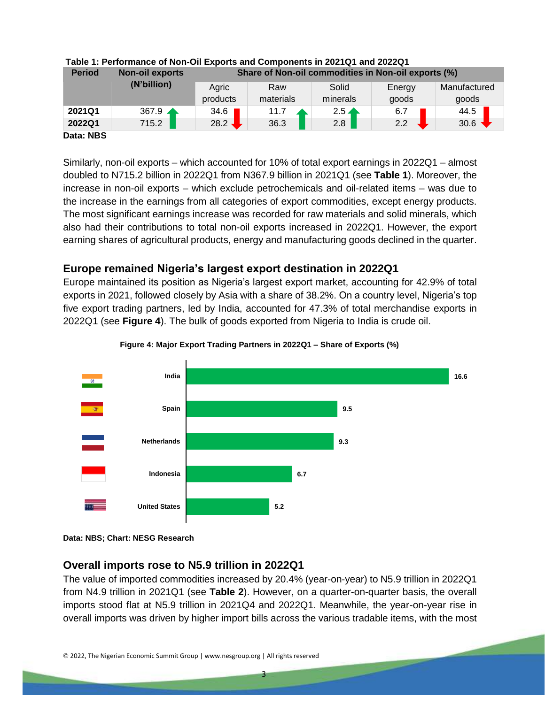| <b>Period</b> | <b>Non-oil exports</b><br>(N'billion) | Share of Non-oil commodities in Non-oil exports (%) |           |                 |        |              |  |  |  |
|---------------|---------------------------------------|-----------------------------------------------------|-----------|-----------------|--------|--------------|--|--|--|
|               |                                       | Agric                                               | Raw       | Solid           | Energy | Manufactured |  |  |  |
|               |                                       | products                                            | materials | minerals        | goods  | goods        |  |  |  |
| 2021Q1        | $367.9$ $\triangle$                   | 34.6                                                | 11.7      | $2.5 \triangle$ | 6.7    | 44.5         |  |  |  |
| 2022Q1        | 715.2                                 | 28.2 $\sqrt{ }$                                     | 36.3      | 2.8             | 2.2    | 30.6         |  |  |  |
| Data: NBS     |                                       |                                                     |           |                 |        |              |  |  |  |

# **Table 1: Performance of Non-Oil Exports and Components in 2021Q1 and 2022Q1**

Similarly, non-oil exports – which accounted for 10% of total export earnings in 2022Q1 – almost doubled to N715.2 billion in 2022Q1 from N367.9 billion in 2021Q1 (see **Table 1**). Moreover, the increase in non-oil exports – which exclude petrochemicals and oil-related items – was due to the increase in the earnings from all categories of export commodities, except energy products. The most significant earnings increase was recorded for raw materials and solid minerals, which also had their contributions to total non-oil exports increased in 2022Q1. However, the export earning shares of agricultural products, energy and manufacturing goods declined in the quarter.

## **Europe remained Nigeria's largest export destination in 2022Q1**

Europe maintained its position as Nigeria's largest export market, accounting for 42.9% of total exports in 2021, followed closely by Asia with a share of 38.2%. On a country level, Nigeria's top five export trading partners, led by India, accounted for 47.3% of total merchandise exports in 2022Q1 (see **Figure 4**). The bulk of goods exported from Nigeria to India is crude oil.





**Data: NBS; Chart: NESG Research**

### **Overall imports rose to N5.9 trillion in 2022Q1**

The value of imported commodities increased by 20.4% (year-on-year) to N5.9 trillion in 2022Q1 from N4.9 trillion in 2021Q1 (see **Table 2**). However, on a quarter-on-quarter basis, the overall imports stood flat at N5.9 trillion in 2021Q4 and 2022Q1. Meanwhile, the year-on-year rise in overall imports was driven by higher import bills across the various tradable items, with the most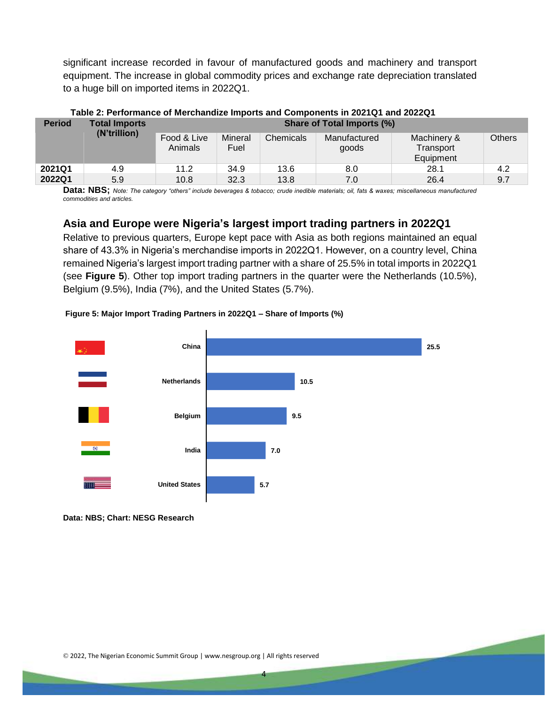significant increase recorded in favour of manufactured goods and machinery and transport equipment. The increase in global commodity prices and exchange rate depreciation translated to a huge bill on imported items in 2022Q1.

| <b>Period</b> | <b>Total Imports</b><br>(N'trillion) | <b>Share of Total Imports (%)</b> |                 |           |                       |                                       |               |  |
|---------------|--------------------------------------|-----------------------------------|-----------------|-----------|-----------------------|---------------------------------------|---------------|--|
|               |                                      | Food & Live<br>Animals            | Mineral<br>Fuel | Chemicals | Manufactured<br>goods | Machinery &<br>Transport<br>Equipment | <b>Others</b> |  |
| 2021Q1        | 4.9                                  | 11.2                              | 34.9            | 13.6      | 8.0                   | 28.1                                  | 4.2           |  |
| 2022Q1        | 5.9                                  | 10.8                              | 32.3            | 13.8      | 7.0                   | 26.4                                  | 9.7           |  |

 **Table 2: Performance of Merchandize Imports and Components in 2021Q1 and 2022Q1**

Data: NBS; Note: The category "others" include beverages & tobacco; crude inedible materials; oil, fats & waxes; miscellaneous manufactured *commodities and articles.*

### **Asia and Europe were Nigeria's largest import trading partners in 2022Q1**

Relative to previous quarters, Europe kept pace with Asia as both regions maintained an equal share of 43.3% in Nigeria's merchandise imports in 2022Q1. However, on a country level, China remained Nigeria's largest import trading partner with a share of 25.5% in total imports in 2022Q1 (see **Figure 5**). Other top import trading partners in the quarter were the Netherlands (10.5%), Belgium (9.5%), India (7%), and the United States (5.7%).

#### **Figure 5: Major Import Trading Partners in 2022Q1 – Share of Imports (%)**



4

**Data: NBS; Chart: NESG Research**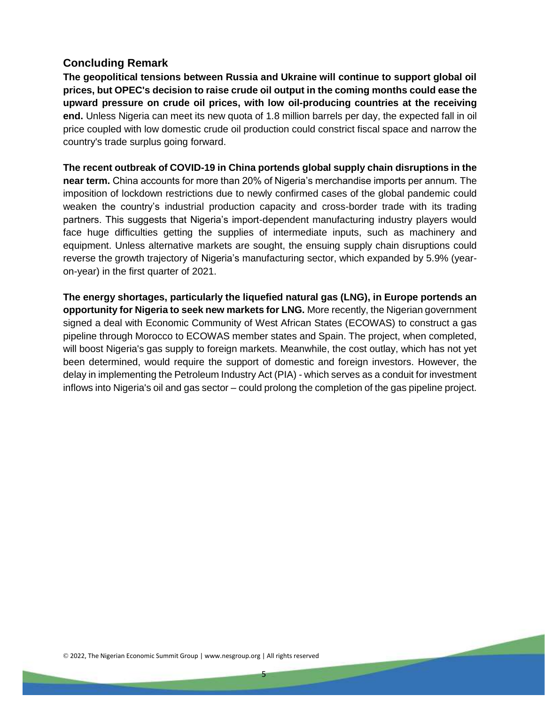#### **Concluding Remark**

**The geopolitical tensions between Russia and Ukraine will continue to support global oil prices, but OPEC's decision to raise crude oil output in the coming months could ease the upward pressure on crude oil prices, with low oil-producing countries at the receiving end.** Unless Nigeria can meet its new quota of 1.8 million barrels per day, the expected fall in oil price coupled with low domestic crude oil production could constrict fiscal space and narrow the country's trade surplus going forward.

**The recent outbreak of COVID-19 in China portends global supply chain disruptions in the near term.** China accounts for more than 20% of Nigeria's merchandise imports per annum. The imposition of lockdown restrictions due to newly confirmed cases of the global pandemic could weaken the country's industrial production capacity and cross-border trade with its trading partners. This suggests that Nigeria's import-dependent manufacturing industry players would face huge difficulties getting the supplies of intermediate inputs, such as machinery and equipment. Unless alternative markets are sought, the ensuing supply chain disruptions could reverse the growth trajectory of Nigeria's manufacturing sector, which expanded by 5.9% (yearon-year) in the first quarter of 2021.

**The energy shortages, particularly the liquefied natural gas (LNG), in Europe portends an opportunity for Nigeria to seek new markets for LNG.** More recently, the Nigerian government signed a deal with Economic Community of West African States (ECOWAS) to construct a gas pipeline through Morocco to ECOWAS member states and Spain. The project, when completed, will boost Nigeria's gas supply to foreign markets. Meanwhile, the cost outlay, which has not yet been determined, would require the support of domestic and foreign investors. However, the delay in implementing the Petroleum Industry Act (PIA) - which serves as a conduit for investment inflows into Nigeria's oil and gas sector – could prolong the completion of the gas pipeline project.

5